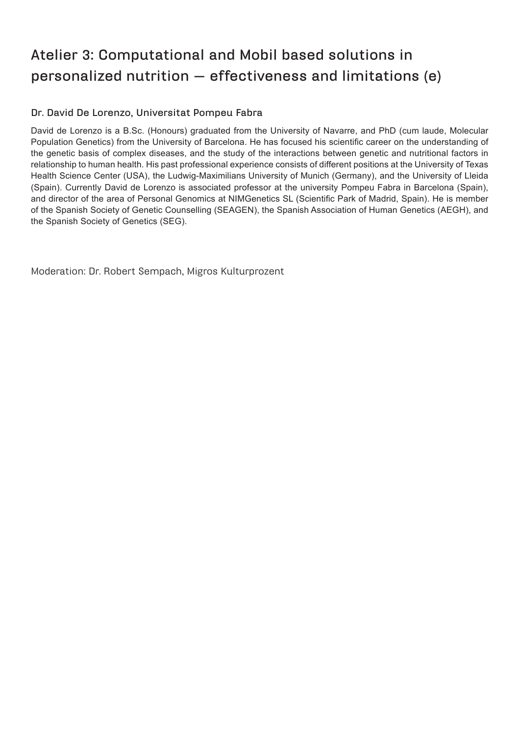# **Atelier 3: Computational and Mobil based solutions in personalized nutrition — effectiveness and limitations (e)**

# **Dr. David De Lorenzo, Universitat Pompeu Fabra**

David de Lorenzo is a B.Sc. (Honours) graduated from the University of Navarre, and PhD (cum laude, Molecular Population Genetics) from the University of Barcelona. He has focused his scientific career on the understanding of the genetic basis of complex diseases, and the study of the interactions between genetic and nutritional factors in relationship to human health. His past professional experience consists of different positions at the University of Texas Health Science Center (USA), the Ludwig-Maximilians University of Munich (Germany), and the University of Lleida (Spain). Currently David de Lorenzo is associated professor at the university Pompeu Fabra in Barcelona (Spain), and director of the area of Personal Genomics at NIMGenetics SL (Scientific Park of Madrid, Spain). He is member of the Spanish Society of Genetic Counselling (SEAGEN), the Spanish Association of Human Genetics (AEGH), and the Spanish Society of Genetics (SEG).

Moderation: Dr. Robert Sempach, Migros Kulturprozent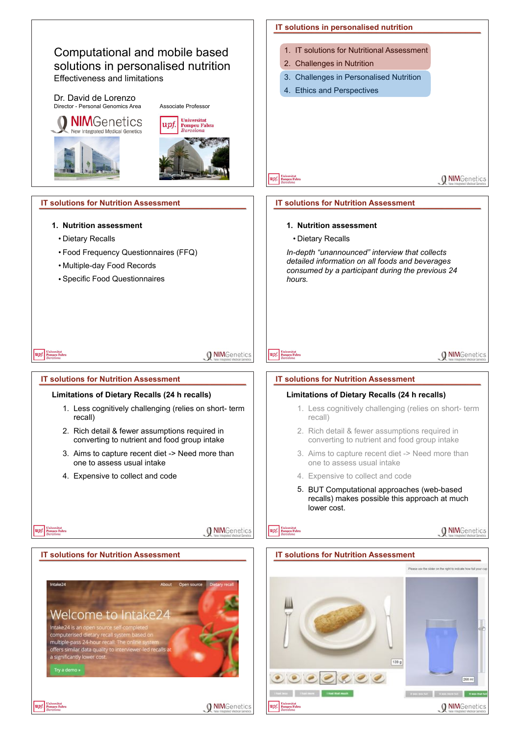



**O NIM**Genetics

 $368m$ 

139 g

**CONTINUES**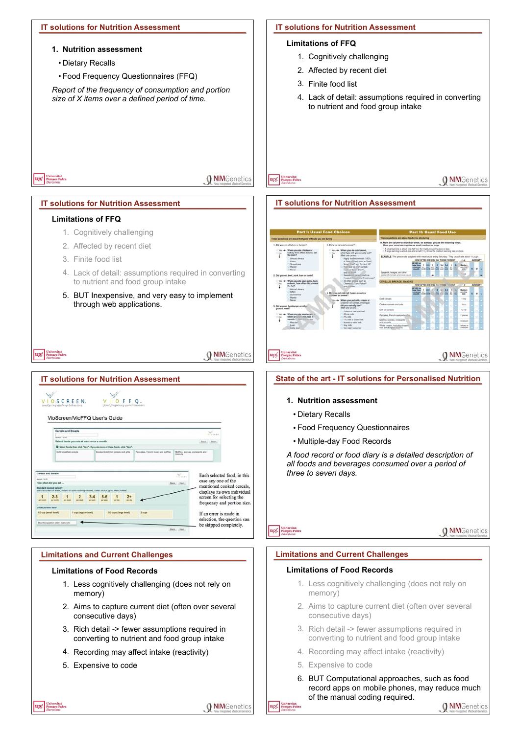# **IT solutions for Nutrition Assessment**

#### **1. Nutrition assessment**

- Dietary Recalls
- Food Frequency Questionnaires (FFQ)

*Report of the frequency of consumption and portion size of X items over a defined period of time.*

#### **IT solutions for Nutrition Assessment**

#### **Limitations of FFQ**

- 1. Cognitively challenging
- 2. Affected by recent diet
- 3. Finite food list
- 4. Lack of detail: assumptions required in converting to nutrient and food group intake

**O** NIMGenetics

**O NIM**Genetics

#### **IT solutions for Nutrition Assessment IT solutions for Nutrition Assessment**

## **Limitations of FFQ**

upf. Pompeu Fab

upf. Pompeu Fabr

- 1. Cognitively challenging
- 2. Affected by recent diet
- 3. Finite food list
- 4. Lack of detail: assumptions required in converting to nutrient and food group intake
- 5. BUT Inexpensive, and very easy to implement through web applications.

# upf. Eniversitat

**O NIM**Genetics

# $.48$ When you ate chick<br>furkey, how often 4<br>the skin?  $\frac{1}{1}$ When you alle a<br>what type did y When you ate beef, por<br>or lamb, how often did<br>the fat? Ŧ 도 없 12 Media Ш **Milk on company O NIM**Genetics upf.

# **State of the art - IT solutions for Personalised Nutrition**

#### **1. Nutrition assessment**

- Dietary Recalls
- Food Frequency Questionnaires
- Multiple-day Food Records

*A food record or food diary is a detailed description of all foods and beverages consumed over a period of three to seven days.*



**O** NIMGenetics

# **Limitations and Current Challenges**

# **Limitations of Food Records**

- 1. Less cognitively challenging (does not rely on memory)
- 2. Aims to capture current diet (often over several consecutive days)
- 3. Rich detail -> fewer assumptions required in converting to nutrient and food group intake
- 4. Recording may affect intake (reactivity)
- 5. Expensive to code
- 6. BUT Computational approaches, such as food record apps on mobile phones, may reduce much of the manual coding required.



#### **Limitations and Current Challenges**

#### **Limitations of Food Records**

- 1. Less cognitively challenging (does not rely on memory)
- 2. Aims to capture current diet (often over several consecutive days)
- 3. Rich detail -> fewer assumptions required in converting to nutrient and food group intake
- 4. Recording may affect intake (reactivity)
- 5. Expensive to code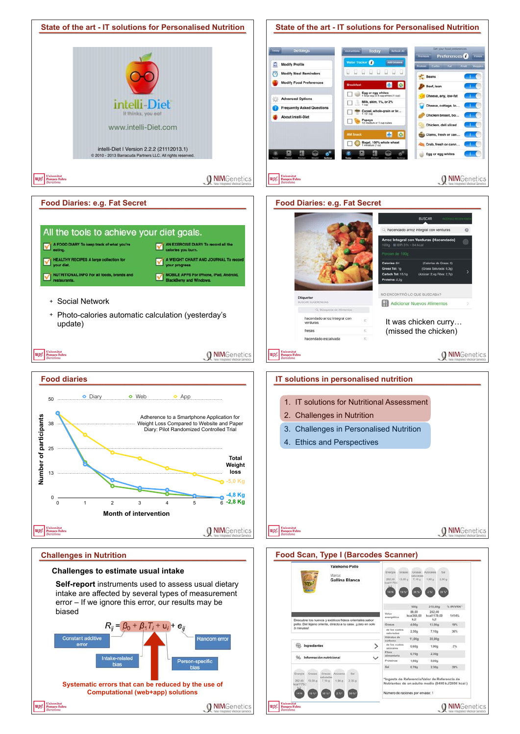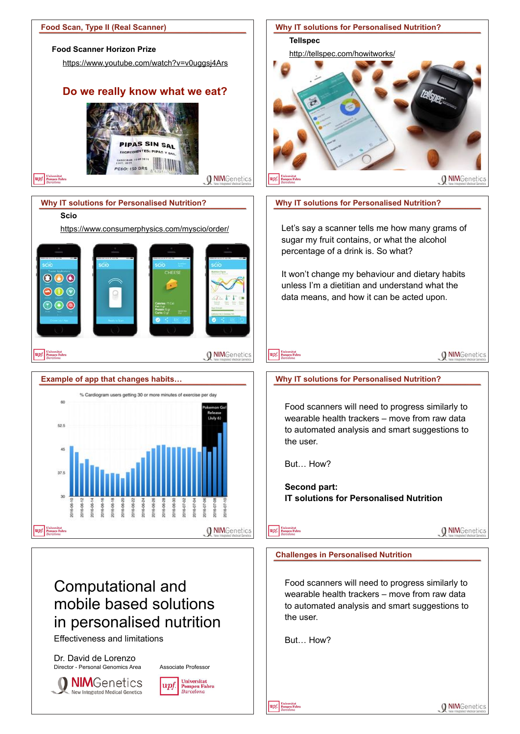

**NIM**Genetics New Integrated Medical Genetics

**Universitat**  $|$ u $p$ i **Pompeu Fabra**<br>Barcelona

**O** NIMGenetics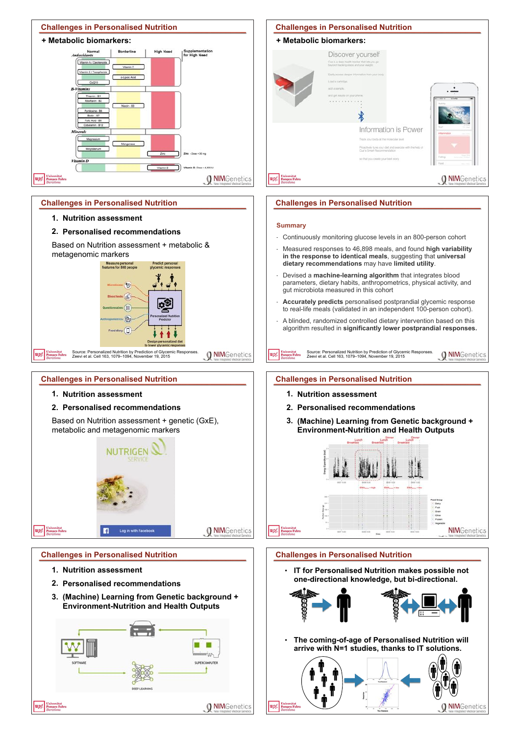

# **+ Metabolic biomarkers:** Discover yourself Que is a deep health tracker that lets y . . . . . . . . . . .  $\ast$ Information is Power Projectively turns your diet and in<br>Cushs Smart Recommendation **O NIM**Genetics upf **Challenges in Personalised Nutrition**

**Challenges in Personalised Nutrition**

#### **Summary**

**O NIM**Genetics

- Continuously monitoring glucose levels in an 800-person cohort
- Measured responses to 46,898 meals, and found **high variability in the response to identical meals**, suggesting that **universal dietary recommendations** may have **limited utility**.
- Devised a **machine-learning algorithm** that integrates blood parameters, dietary habits, anthropometrics, physical activity, and gut microbiota measured in this cohort
- **Accurately predicts** personalised postprandial glycemic response to real-life meals (validated in an independent 100-person cohort).
- A blinded, randomized controlled dietary intervention based on this algorithm resulted in **significantly lower postprandial responses.**

**O** NIMGenetics

Source: Personalized Nutrition by Prediction of Glycemic Responses. Zeevi et al. Cell 163, 1079–1094, November 19, 2015 upf

## **Challenges in Personalised Nutrition**

- **1. Nutrition assessment**
- **2. Personalised recommendations**
- **3. (Machine) Learning from Genetic background + Environment-Nutrition and Health Outputs**



#### **Challenges in Personalised Nutrition**

**• IT for Personalised Nutrition makes possible not one-directional knowledge, but bi-directional.** 



**• The coming-of-age of Personalised Nutrition will arrive with N=1 studies, thanks to IT solutions.**



#### Source: Personalized Nutrition by Prediction of Glycemic Responses. Zeevi et al. Cell 163, 1079–1094, November 19, 2015 upf

## **Challenges in Personalised Nutrition**

# **1. Nutrition assessment**

## **2. Personalised recommendations**

 $\epsilon$ s (A ood diary  $\bigcap$ 

Based on Nutrition assessment + genetic (GxE), metabolic and metagenomic markers



# **Challenges in Personalised Nutrition**

- **1. Nutrition assessment**
- **2. Personalised recommendations**
- **3. (Machine) Learning from Genetic background + Environment-Nutrition and Health Outputs**